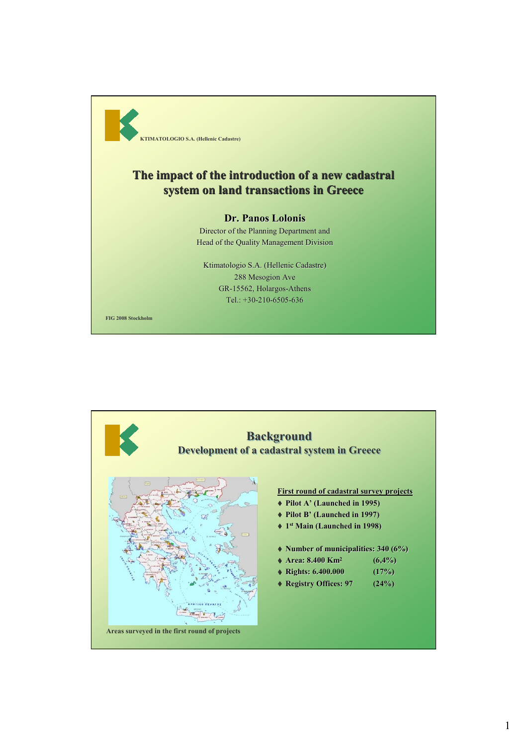

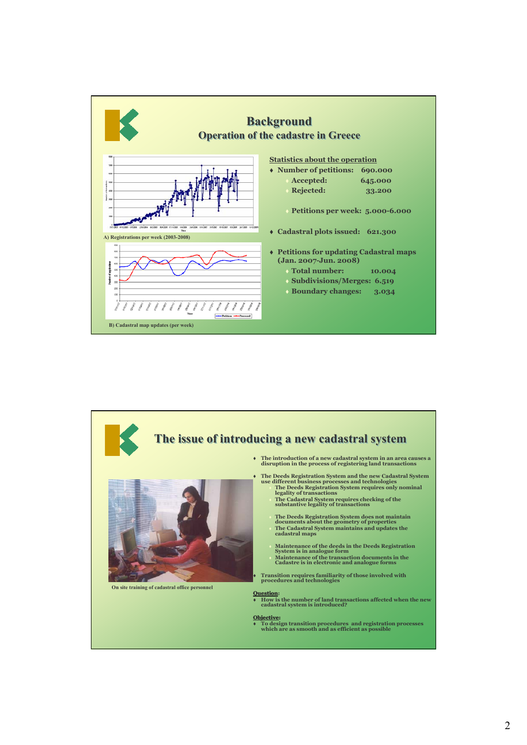



2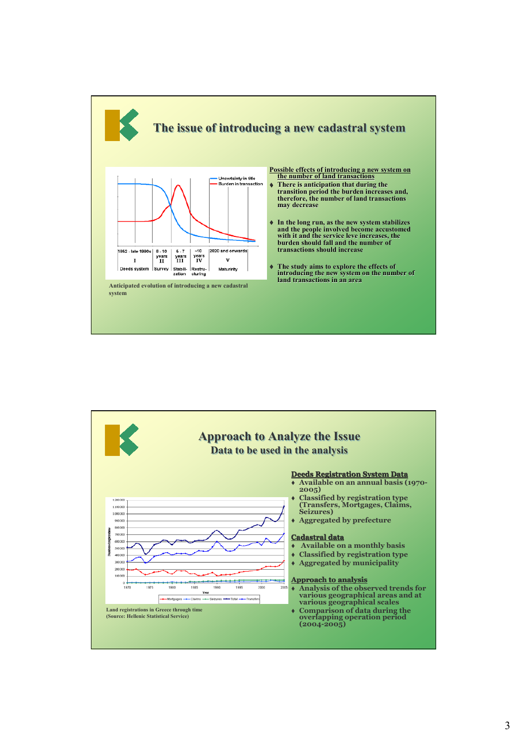

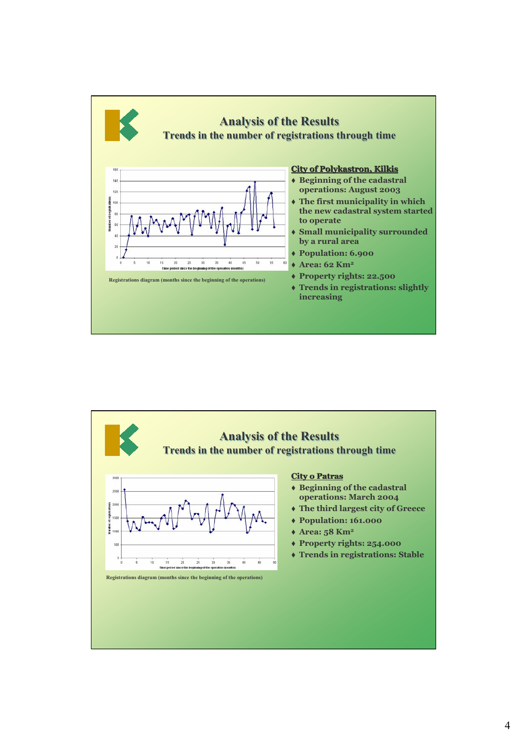

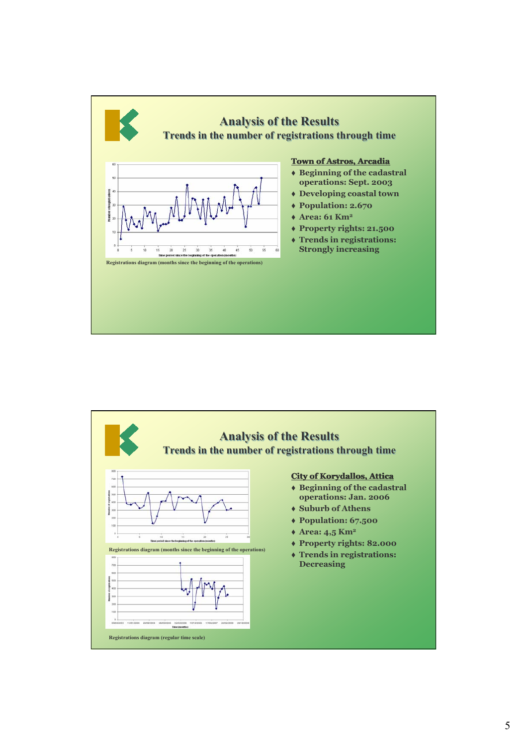

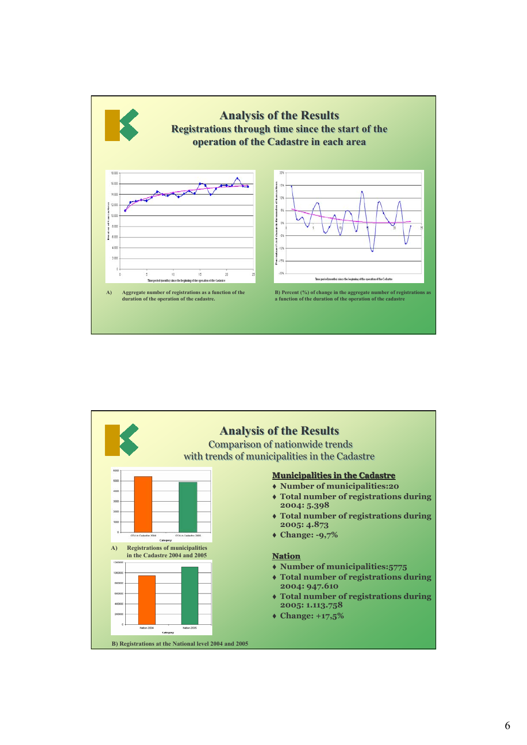